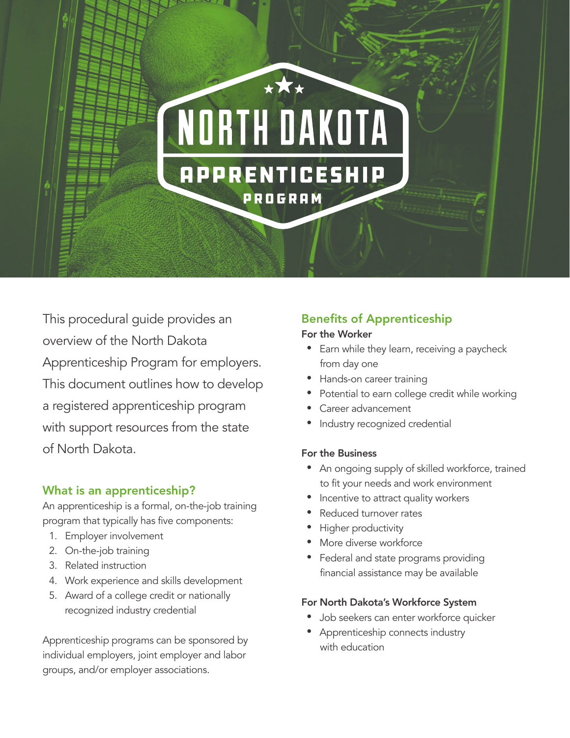

This procedural guide provides an overview of the North Dakota Apprenticeship Program for employers. This document outlines how to develop a registered apprenticeship program with support resources from the state of North Dakota.

### What is an apprenticeship?

An apprenticeship is a formal, on-the-job training program that typically has five components:

- 1. Employer involvement
- 2. On-the-job training
- 3. Related instruction
- 4. Work experience and skills development
- 5. Award of a college credit or nationally recognized industry credential

Apprenticeship programs can be sponsored by individual employers, joint employer and labor groups, and/or employer associations.

# Benefits of Apprenticeship

#### For the Worker

- Earn while they learn, receiving a paycheck from day one
- Hands-on career training
- Potential to earn college credit while working
- Career advancement
- Industry recognized credential

#### For the Business

- An ongoing supply of skilled workforce, trained to fit your needs and work environment
- Incentive to attract quality workers
- Reduced turnover rates
- Higher productivity
- More diverse workforce
- Federal and state programs providing financial assistance may be available

### For North Dakota's Workforce System

- Job seekers can enter workforce quicker
- Apprenticeship connects industry with education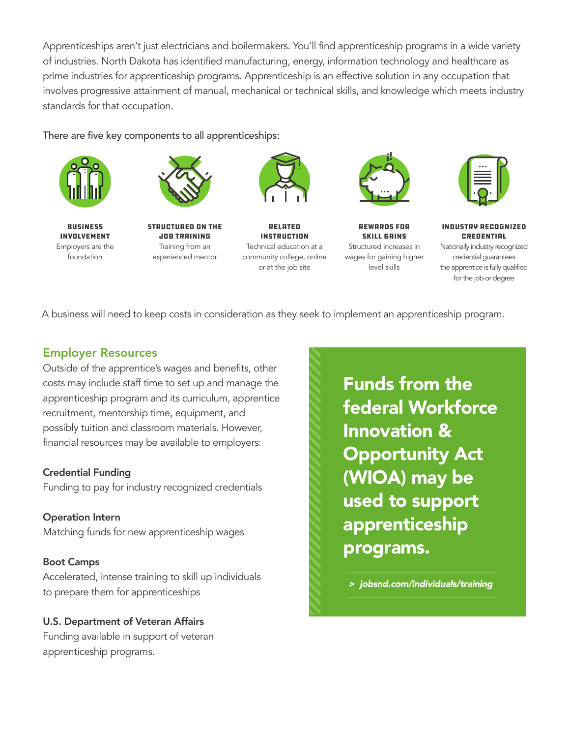Apprenticeships aren't just electricians and boilermakers. You'll find apprenticeship programs in a wide variety of industries. North Dakota has identified manufacturing, energy, information technology and healthcare as prime industries for apprenticeship programs. Apprenticeship is an effective solution in any occupation that involves progressive attainment of manual, mechanical or technical skills, and knowledge which meets industry standards for that occupation.

There are five key components to all apprenticeships:



Business involvement Employers are the foundation



Structured on the job training Training from an experienced mentor



Related Instruction Technical education at a community college, online or at the job site



Rewards for skill gains Structured increases in wages for gaining higher level skills



Industry recognized credential Nationally industry recognized credential guarantees the apprentice is fully qualified for the job or degree

A business will need to keep costs in consideration as they seek to implement an apprenticeship program.

## Employer Resources

Outside of the apprentice's wages and benefits, other costs may include staff time to set up and manage the apprenticeship program and its curriculum, apprentice recruitment, mentorship time, equipment, and possibly tuition and classroom materials. However, financial resources may be available to employers:

### Credential Funding

Funding to pay for industry recognized credentials

Operation Intern Matching funds for new apprenticeship wages

### Boot Camps

Accelerated, intense training to skill up individuals to prepare them for apprenticeships

### U.S. Department of Veteran Affairs

Funding available in support of veteran apprenticeship programs.

Funds from the federal Workforce Innovation & Opportunity Act (WIOA) may be used to support apprenticeship programs.

 *> jobsnd.com/individuals/training*